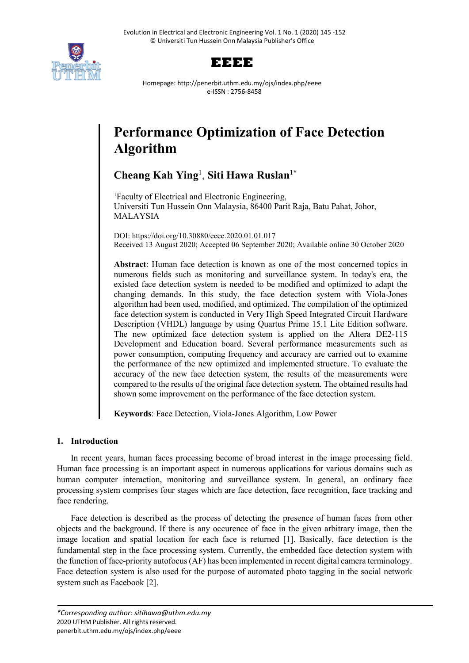



Homepage: http://penerbit.uthm.edu.my/ojs/index.php/eeee e-ISSN : 2756-8458

# **Performance Optimization of Face Detection Algorithm**

# **Cheang Kah Ying**<sup>1</sup> , **Siti Hawa Ruslan1\***

<sup>1</sup>Faculty of Electrical and Electronic Engineering, Universiti Tun Hussein Onn Malaysia, 86400 Parit Raja, Batu Pahat, Johor, MALAYSIA

DOI: https://doi.org/10.30880/eeee.2020.01.01.017 Received 13 August 2020; Accepted 06 September 2020; Available online 30 October 2020

**Abstract**: Human face detection is known as one of the most concerned topics in numerous fields such as monitoring and surveillance system. In today's era, the existed face detection system is needed to be modified and optimized to adapt the changing demands. In this study, the face detection system with Viola-Jones algorithm had been used, modified, and optimized. The compilation of the optimized face detection system is conducted in Very High Speed Integrated Circuit Hardware Description (VHDL) language by using Quartus Prime 15.1 Lite Edition software. The new optimized face detection system is applied on the Altera DE2-115 Development and Education board. Several performance measurements such as power consumption, computing frequency and accuracy are carried out to examine the performance of the new optimized and implemented structure. To evaluate the accuracy of the new face detection system, the results of the measurements were compared to the results of the original face detection system. The obtained results had shown some improvement on the performance of the face detection system.

**Keywords**: Face Detection, Viola-Jones Algorithm, Low Power

# **1. Introduction**

In recent years, human faces processing become of broad interest in the image processing field. Human face processing is an important aspect in numerous applications for various domains such as human computer interaction, monitoring and surveillance system. In general, an ordinary face processing system comprises four stages which are face detection, face recognition, face tracking and face rendering.

Face detection is described as the process of detecting the presence of human faces from other objects and the background. If there is any occurence of face in the given arbitrary image, then the image location and spatial location for each face is returned [1]. Basically, face detection is the fundamental step in the face processing system. Currently, the embedded face detection system with the function of face-priority autofocus (AF) has been implemented in recent digital camera terminology. Face detection system is also used for the purpose of automated photo tagging in the social network system such as Facebook [2].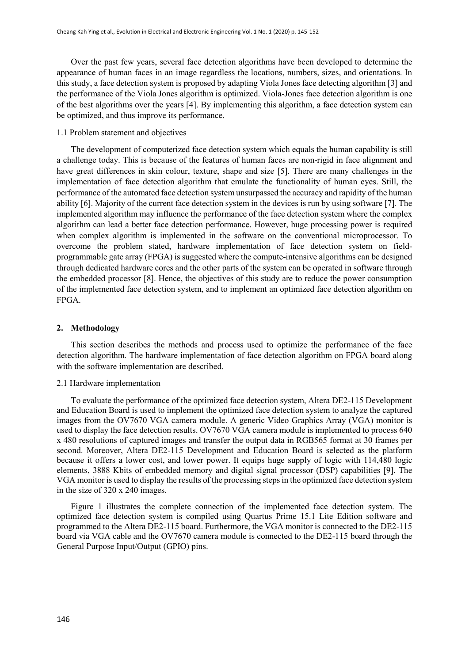Over the past few years, several face detection algorithms have been developed to determine the appearance of human faces in an image regardless the locations, numbers, sizes, and orientations. In this study, a face detection system is proposed by adapting Viola Jones face detecting algorithm [3] and the performance of the Viola Jones algorithm is optimized. Viola-Jones face detection algorithm is one of the best algorithms over the years [4]. By implementing this algorithm, a face detection system can be optimized, and thus improve its performance.

## 1.1 Problem statement and objectives

The development of computerized face detection system which equals the human capability is still a challenge today. This is because of the features of human faces are non-rigid in face alignment and have great differences in skin colour, texture, shape and size [5]. There are many challenges in the implementation of face detection algorithm that emulate the functionality of human eyes. Still, the performance of the automated face detection system unsurpassed the accuracy and rapidity of the human ability [6]. Majority of the current face detection system in the devices is run by using software [7]. The implemented algorithm may influence the performance of the face detection system where the complex algorithm can lead a better face detection performance. However, huge processing power is required when complex algorithm is implemented in the software on the conventional microprocessor. To overcome the problem stated, hardware implementation of face detection system on fieldprogrammable gate array (FPGA) is suggested where the compute-intensive algorithms can be designed through dedicated hardware cores and the other parts of the system can be operated in software through the embedded processor [8]. Hence, the objectives of this study are to reduce the power consumption of the implemented face detection system, and to implement an optimized face detection algorithm on FPGA.

### **2. Methodology**

This section describes the methods and process used to optimize the performance of the face detection algorithm. The hardware implementation of face detection algorithm on FPGA board along with the software implementation are described.

# 2.1 Hardware implementation

To evaluate the performance of the optimized face detection system, Altera DE2-115 Development and Education Board is used to implement the optimized face detection system to analyze the captured images from the OV7670 VGA camera module. A generic Video Graphics Array (VGA) monitor is used to display the face detection results. OV7670 VGA camera module is implemented to process 640 x 480 resolutions of captured images and transfer the output data in RGB565 format at 30 frames per second. Moreover, Altera DE2-115 Development and Education Board is selected as the platform because it offers a lower cost, and lower power. It equips huge supply of logic with 114,480 logic elements, 3888 Kbits of embedded memory and digital signal processor (DSP) capabilities [9]. The VGA monitor is used to display the results of the processing steps in the optimized face detection system in the size of 320 x 240 images.

Figure 1 illustrates the complete connection of the implemented face detection system. The optimized face detection system is compiled using Quartus Prime 15.1 Lite Edition software and programmed to the Altera DE2-115 board. Furthermore, the VGA monitor is connected to the DE2-115 board via VGA cable and the OV7670 camera module is connected to the DE2-115 board through the General Purpose Input/Output (GPIO) pins.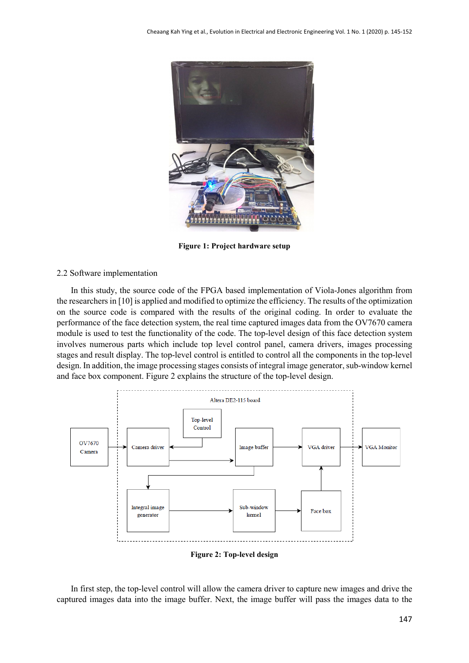

**Figure 1: Project hardware setup**

# 2.2 Software implementation

In this study, the source code of the FPGA based implementation of Viola-Jones algorithm from the researchers in [10] is applied and modified to optimize the efficiency. The results of the optimization on the source code is compared with the results of the original coding. In order to evaluate the performance of the face detection system, the real time captured images data from the OV7670 camera module is used to test the functionality of the code. The top-level design of this face detection system involves numerous parts which include top level control panel, camera drivers, images processing stages and result display. The top-level control is entitled to control all the components in the top-level design. In addition, the image processing stages consists of integral image generator, sub-window kernel and face box component. Figure 2 explains the structure of the top-level design.



**Figure 2: Top-level design**

In first step, the top-level control will allow the camera driver to capture new images and drive the captured images data into the image buffer. Next, the image buffer will pass the images data to the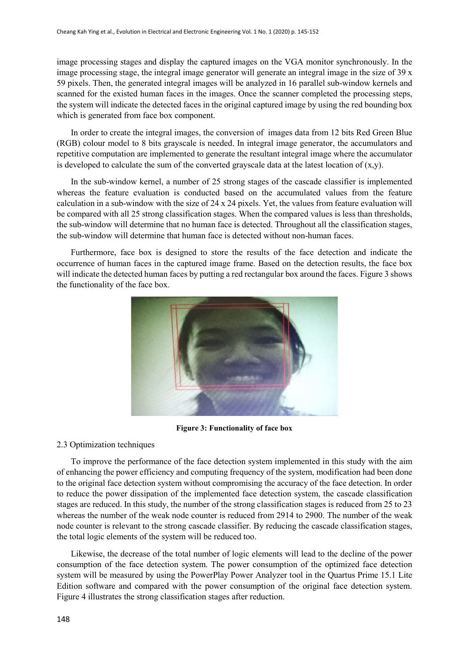image processing stages and display the captured images on the VGA monitor synchronously. In the image processing stage, the integral image generator will generate an integral image in the size of 39 x 59 pixels. Then, the generated integral images will be analyzed in 16 parallel sub-window kernels and scanned for the existed human faces in the images. Once the scanner completed the processing steps, the system will indicate the detected faces in the original captured image by using the red bounding box which is generated from face box component.

In order to create the integral images, the conversion of images data from 12 bits Red Green Blue (RGB) colour model to 8 bits grayscale is needed. In integral image generator, the accumulators and repetitive computation are implemented to generate the resultant integral image where the accumulator is developed to calculate the sum of the converted grayscale data at the latest location of  $(x,y)$ .

In the sub-window kernel, a number of 25 strong stages of the cascade classifier is implemented whereas the feature evaluation is conducted based on the accumulated values from the feature calculation in a sub-window with the size of 24 x 24 pixels. Yet, the values from feature evaluation will be compared with all 25 strong classification stages. When the compared values is less than thresholds, the sub-window will determine that no human face is detected. Throughout all the classification stages, the sub-window will determine that human face is detected without non-human faces.

Furthermore, face box is designed to store the results of the face detection and indicate the occurrence of human faces in the captured image frame. Based on the detection results, the face box will indicate the detected human faces by putting a red rectangular box around the faces. Figure 3 shows the functionality of the face box.



**Figure 3: Functionality of face box**

# 2.3 Optimization techniques

To improve the performance of the face detection system implemented in this study with the aim of enhancing the power efficiency and computing frequency of the system, modification had been done to the original face detection system without compromising the accuracy of the face detection. In order to reduce the power dissipation of the implemented face detection system, the cascade classification stages are reduced. In this study, the number of the strong classification stages is reduced from 25 to 23 whereas the number of the weak node counter is reduced from 2914 to 2900. The number of the weak node counter is relevant to the strong cascade classifier. By reducing the cascade classification stages, the total logic elements of the system will be reduced too.

Likewise, the decrease of the total number of logic elements will lead to the decline of the power consumption of the face detection system. The power consumption of the optimized face detection system will be measured by using the PowerPlay Power Analyzer tool in the Quartus Prime 15.1 Lite Edition software and compared with the power consumption of the original face detection system. Figure 4 illustrates the strong classification stages after reduction.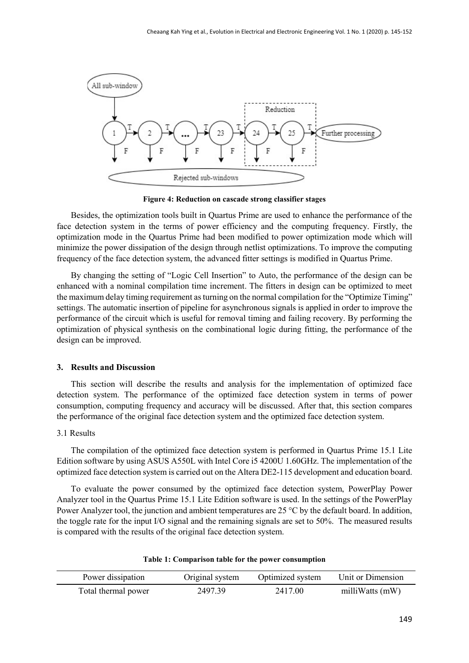

**Figure 4: Reduction on cascade strong classifier stages**

Besides, the optimization tools built in Quartus Prime are used to enhance the performance of the face detection system in the terms of power efficiency and the computing frequency. Firstly, the optimization mode in the Quartus Prime had been modified to power optimization mode which will minimize the power dissipation of the design through netlist optimizations. To improve the computing frequency of the face detection system, the advanced fitter settings is modified in Quartus Prime.

By changing the setting of "Logic Cell Insertion" to Auto, the performance of the design can be enhanced with a nominal compilation time increment. The fitters in design can be optimized to meet the maximum delay timing requirement as turning on the normal compilation for the "Optimize Timing" settings. The automatic insertion of pipeline for asynchronous signals is applied in order to improve the performance of the circuit which is useful for removal timing and failing recovery. By performing the optimization of physical synthesis on the combinational logic during fitting, the performance of the design can be improved.

#### **3. Results and Discussion**

This section will describe the results and analysis for the implementation of optimized face detection system. The performance of the optimized face detection system in terms of power consumption, computing frequency and accuracy will be discussed. After that, this section compares the performance of the original face detection system and the optimized face detection system.

# 3.1 Results

The compilation of the optimized face detection system is performed in Quartus Prime 15.1 Lite Edition software by using ASUS A550L with Intel Core i5 4200U 1.60GHz. The implementation of the optimized face detection system is carried out on the Altera DE2-115 development and education board.

To evaluate the power consumed by the optimized face detection system, PowerPlay Power Analyzer tool in the Quartus Prime 15.1 Lite Edition software is used. In the settings of the PowerPlay Power Analyzer tool, the junction and ambient temperatures are 25 °C by the default board. In addition, the toggle rate for the input I/O signal and the remaining signals are set to 50%. The measured results is compared with the results of the original face detection system.

|  |  | Table 1: Comparison table for the power consumption |
|--|--|-----------------------------------------------------|
|--|--|-----------------------------------------------------|

| Power dissipation   | Original system | Optimized system | Unit or Dimension |
|---------------------|-----------------|------------------|-------------------|
| Total thermal power | 2497.39         | 2417.00          | milliWatts (mW)   |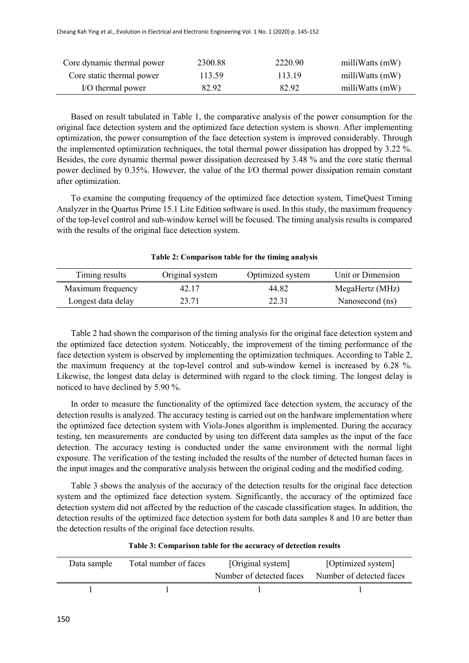| Core dynamic thermal power | 2300.88 | 2220.90 | milliWatts (mW) |
|----------------------------|---------|---------|-----------------|
| Core static thermal power  | 113.59  | 113.19  | milliWatts (mW) |
| I/O thermal power          | 82.92   | 82.92   | milliWatts (mW) |

Based on result tabulated in Table 1, the comparative analysis of the power consumption for the original face detection system and the optimized face detection system is shown. After implementing optimization, the power consumption of the face detection system is improved considerably. Through the implemented optimization techniques, the total thermal power dissipation has dropped by 3.22 %. Besides, the core dynamic thermal power dissipation decreased by 3.48 % and the core static thermal power declined by 0.35%. However, the value of the I/O thermal power dissipation remain constant after optimization.

To examine the computing frequency of the optimized face detection system, TimeQuest Timing Analyzer in the Quartus Prime 15.1 Lite Edition software is used. In this study, the maximum frequency of the top-level control and sub-window kernel will be focused. The timing analysis results is compared with the results of the original face detection system.

| Timing results     | Original system | Optimized system | Unit or Dimension |
|--------------------|-----------------|------------------|-------------------|
| Maximum frequency  | 42.17           | 44.82            | MegaHertz (MHz)   |
| Longest data delay | 23.71           | 22.31            | Nanosecond (ns)   |

**Table 2: Comparison table for the timing analysis**

Table 2 had shown the comparison of the timing analysis for the original face detection system and the optimized face detection system. Noticeably, the improvement of the timing performance of the face detection system is observed by implementing the optimization techniques. According to Table 2, the maximum frequency at the top-level control and sub-window kernel is increased by 6.28 %. Likewise, the longest data delay is determined with regard to the clock timing. The longest delay is noticed to have declined by 5.90 %.

In order to measure the functionality of the optimized face detection system, the accuracy of the detection results is analyzed. The accuracy testing is carried out on the hardware implementation where the optimized face detection system with Viola-Jones algorithm is implemented. During the accuracy testing, ten measurements are conducted by using ten different data samples as the input of the face detection. The accuracy testing is conducted under the same environment with the normal light exposure. The verification of the testing included the results of the number of detected human faces in the input images and the comparative analysis between the original coding and the modified coding.

Table 3 shows the analysis of the accuracy of the detection results for the original face detection system and the optimized face detection system. Significantly, the accuracy of the optimized face detection system did not affected by the reduction of the cascade classification stages. In addition, the detection results of the optimized face detection system for both data samples 8 and 10 are better than the detection results of the original face detection results.

| Data sample | Total number of faces | [Original system]        | [Optimized system]       |
|-------------|-----------------------|--------------------------|--------------------------|
|             |                       | Number of detected faces | Number of detected faces |
|             |                       |                          |                          |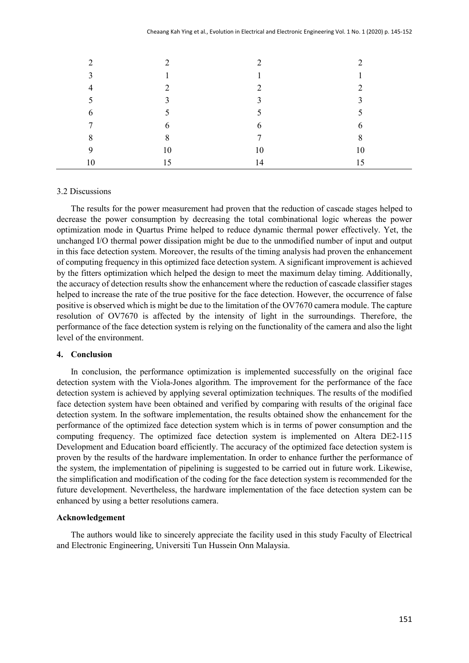| $\mathcal{D}_{\mathcal{A}}$ | ◠              | ◠             | $\mathcal{D}_{\mathcal{L}}$ |
|-----------------------------|----------------|---------------|-----------------------------|
| 3                           |                | $\mathbf{1}$  |                             |
| $\overline{4}$              | $\gamma$       | $\gamma$      | $\mathcal{D}$               |
| 5                           | $\overline{3}$ | 3             | 3                           |
| 6                           | 5              | 5             | 5                           |
| 7                           | 6              | 6             | 6                           |
| 8                           | 8              | $\mathcal{I}$ | 8                           |
| 9                           | 10             | 10            | 10                          |
| 10                          | 15             | 14            | 15                          |

#### 3.2 Discussions

The results for the power measurement had proven that the reduction of cascade stages helped to decrease the power consumption by decreasing the total combinational logic whereas the power optimization mode in Quartus Prime helped to reduce dynamic thermal power effectively. Yet, the unchanged I/O thermal power dissipation might be due to the unmodified number of input and output in this face detection system. Moreover, the results of the timing analysis had proven the enhancement of computing frequency in this optimized face detection system. A significant improvement is achieved by the fitters optimization which helped the design to meet the maximum delay timing. Additionally, the accuracy of detection results show the enhancement where the reduction of cascade classifier stages helped to increase the rate of the true positive for the face detection. However, the occurrence of false positive is observed which is might be due to the limitation of the OV7670 camera module. The capture resolution of OV7670 is affected by the intensity of light in the surroundings. Therefore, the performance of the face detection system is relying on the functionality of the camera and also the light level of the environment.

### **4. Conclusion**

In conclusion, the performance optimization is implemented successfully on the original face detection system with the Viola-Jones algorithm. The improvement for the performance of the face detection system is achieved by applying several optimization techniques. The results of the modified face detection system have been obtained and verified by comparing with results of the original face detection system. In the software implementation, the results obtained show the enhancement for the performance of the optimized face detection system which is in terms of power consumption and the computing frequency. The optimized face detection system is implemented on Altera DE2-115 Development and Education board efficiently. The accuracy of the optimized face detection system is proven by the results of the hardware implementation. In order to enhance further the performance of the system, the implementation of pipelining is suggested to be carried out in future work. Likewise, the simplification and modification of the coding for the face detection system is recommended for the future development. Nevertheless, the hardware implementation of the face detection system can be enhanced by using a better resolutions camera.

#### **Acknowledgement**

The authors would like to sincerely appreciate the facility used in this study Faculty of Electrical and Electronic Engineering, Universiti Tun Hussein Onn Malaysia.